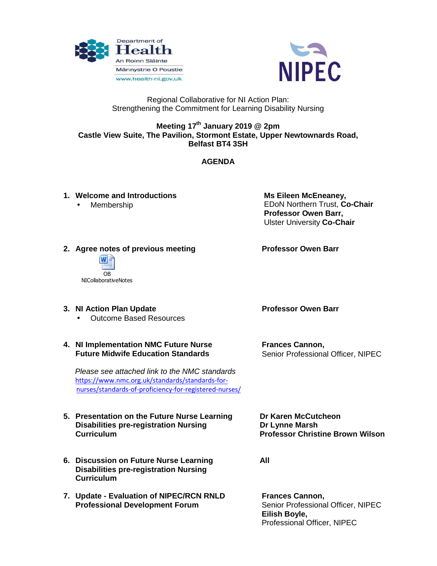



# Regional Collaborative for NI Action Plan: Strengthening the Commitment for Learning Disability Nursing

# **Meeting 17th January 2019 @ 2pm Castle View Suite, The Pavilion, Stormont Estate, Upper Newtownards Road, Belfast BT4 3SH**

# **AGENDA**

# **1. Welcome and Introductions**

• Membership

 **Ms Eileen McEneaney,**  EDoN Northern Trust, **Co-Chair Professor Owen Barr,**  Ulster University **Co-Chair** 

# **2. Agree notes of previous meeting**



**3. NI Action Plan Update** 

• Outcome Based Resources

#### **4. NI Implementation NMC Future Nurse Future Midwife Education Standards**

 Please see attached link to the NMC standards https://www.nmc.org.uk/standards/standards-fornurses/standards-of-proficiency-for-registered-nurses/

#### **5. Presentation on the Future Nurse Learning Disabilities pre-registration Nursing Curriculum**

- **6. Discussion on Future Nurse Learning Disabilities pre-registration Nursing Curriculum**
- **7. Update Evaluation of NIPEC/RCN RNLD Professional Development Forum**

 **Professor Owen Barr** 

 **Professor Owen Barr** 

 **Frances Cannon,**  Senior Professional Officer, NIPEC

 **Dr Karen McCutcheon Dr Lynne Marsh Professor Christine Brown Wilson**

 **All** 

 **Frances Cannon,**  Senior Professional Officer, NIPEC **Eilish Boyle,**  Professional Officer, NIPEC